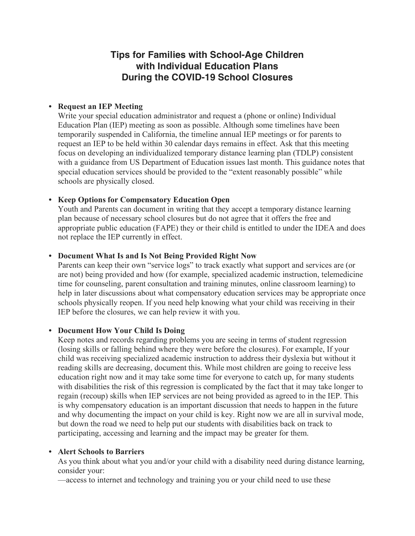# **Tips for Families with School-Age Children with Individual Education Plans During the COVID-19 School Closures**

## **• Request an IEP Meeting**

Write your special education administrator and request a (phone or online) Individual Education Plan (IEP) meeting as soon as possible. Although some timelines have been temporarily suspended in California, the timeline annual IEP meetings or for parents to request an IEP to be held within 30 calendar days remains in effect. Ask that this meeting focus on developing an individualized temporary distance learning plan (TDLP) consistent with a guidance from US Department of Education issues last month. This guidance notes that special education services should be provided to the "extent reasonably possible" while schools are physically closed.

## **• Keep Options for Compensatory Education Open**

Youth and Parents can document in writing that they accept a temporary distance learning plan because of necessary school closures but do not agree that it offers the free and appropriate public education (FAPE) they or their child is entitled to under the IDEA and does not replace the IEP currently in effect.

## **• Document What Is and Is Not Being Provided Right Now**

Parents can keep their own "service logs" to track exactly what support and services are (or are not) being provided and how (for example, specialized academic instruction, telemedicine time for counseling, parent consultation and training minutes, online classroom learning) to help in later discussions about what compensatory education services may be appropriate once schools physically reopen. If you need help knowing what your child was receiving in their IEP before the closures, we can help review it with you.

### **• Document How Your Child Is Doing**

Keep notes and records regarding problems you are seeing in terms of student regression (losing skills or falling behind where they were before the closures). For example, If your child was receiving specialized academic instruction to address their dyslexia but without it reading skills are decreasing, document this. While most children are going to receive less education right now and it may take some time for everyone to catch up, for many students with disabilities the risk of this regression is complicated by the fact that it may take longer to regain (recoup) skills when IEP services are not being provided as agreed to in the IEP. This is why compensatory education is an important discussion that needs to happen in the future and why documenting the impact on your child is key. Right now we are all in survival mode, but down the road we need to help put our students with disabilities back on track to participating, accessing and learning and the impact may be greater for them.

### **• Alert Schools to Barriers**

As you think about what you and/or your child with a disability need during distance learning, consider your:

—access to internet and technology and training you or your child need to use these